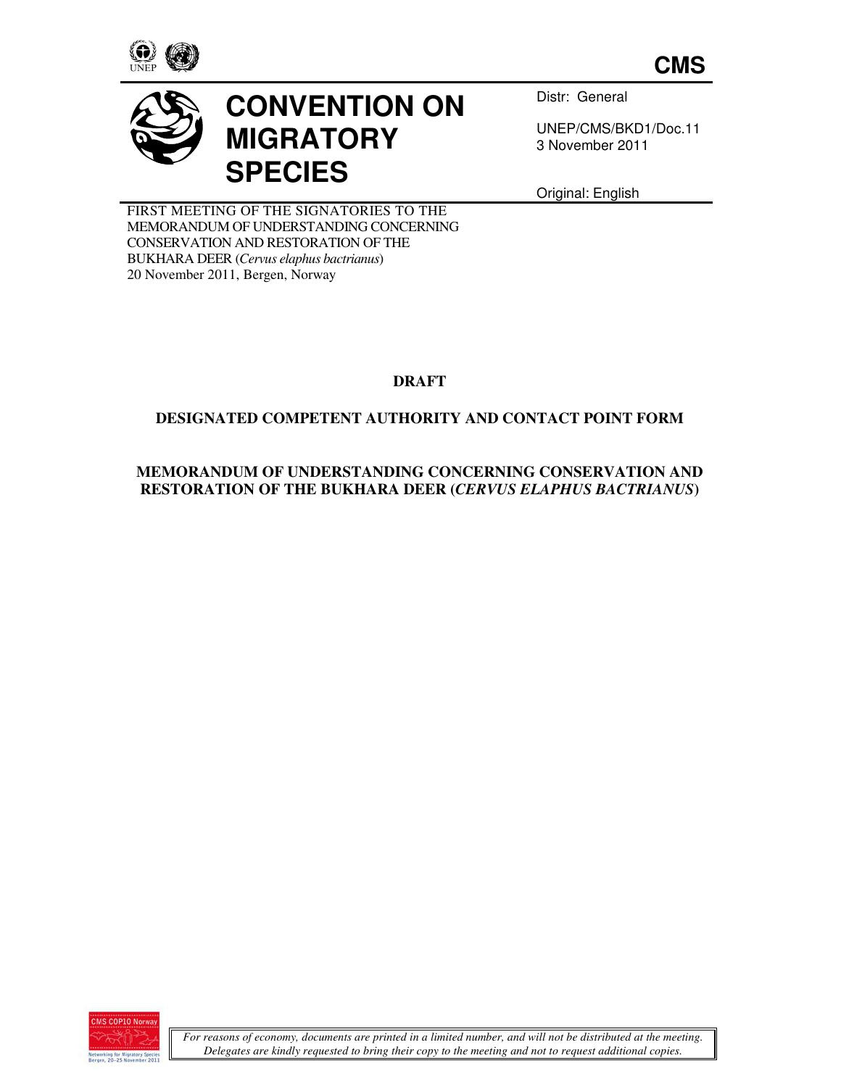

**CMS**



# **CONVENTION ON MIGRATORY SPECIES**

Distr: General

UNEP/CMS/BKD1/Doc.11 3 November 2011

Original: English

FIRST MEETING OF THE SIGNATORIES TO THE MEMORANDUM OF UNDERSTANDING CONCERNING CONSERVATION AND RESTORATION OF THE BUKHARA DEER (*Cervus elaphus bactrianus*) 20 November 2011, Bergen, Norway

**DRAFT** 

### **DESIGNATED COMPETENT AUTHORITY AND CONTACT POINT FORM**

#### **MEMORANDUM OF UNDERSTANDING CONCERNING CONSERVATION AND RESTORATION OF THE BUKHARA DEER (***CERVUS ELAPHUS BACTRIANUS***)**